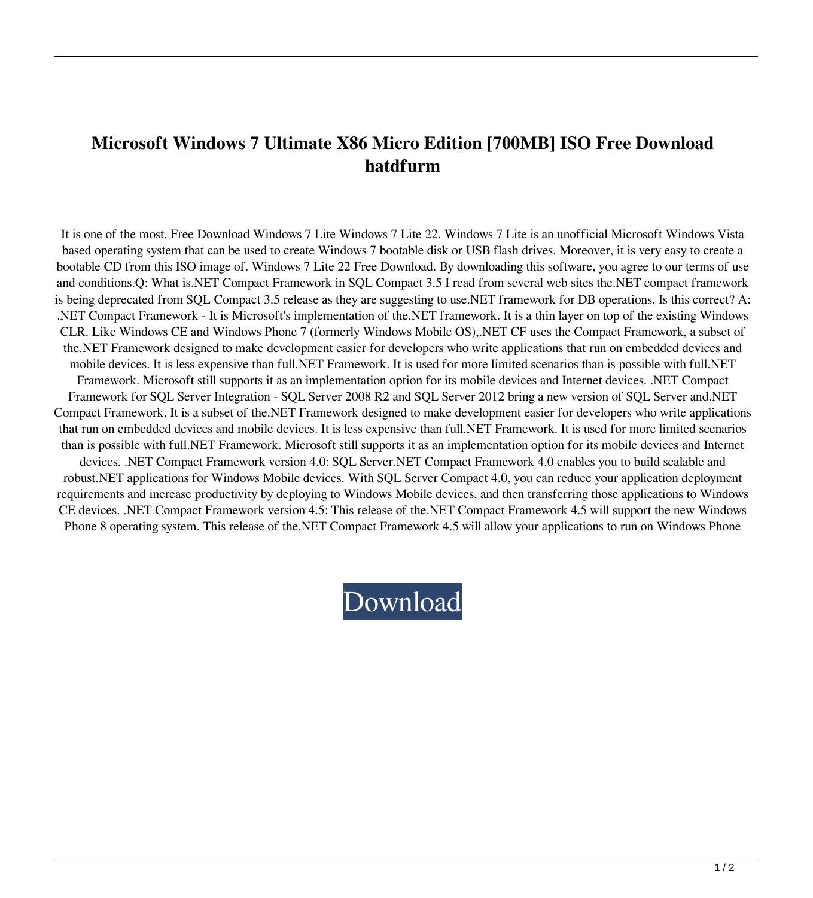## **Microsoft Windows 7 Ultimate X86 Micro Edition [700MB] ISO Free Download hatdfurm**

It is one of the most. Free Download Windows 7 Lite Windows 7 Lite 22. Windows 7 Lite is an unofficial Microsoft Windows Vista based operating system that can be used to create Windows 7 bootable disk or USB flash drives. Moreover, it is very easy to create a bootable CD from this ISO image of. Windows 7 Lite 22 Free Download. By downloading this software, you agree to our terms of use and conditions.Q: What is.NET Compact Framework in SQL Compact 3.5 I read from several web sites the.NET compact framework is being deprecated from SQL Compact 3.5 release as they are suggesting to use.NET framework for DB operations. Is this correct? A: .NET Compact Framework - It is Microsoft's implementation of the.NET framework. It is a thin layer on top of the existing Windows CLR. Like Windows CE and Windows Phone 7 (formerly Windows Mobile OS),.NET CF uses the Compact Framework, a subset of the.NET Framework designed to make development easier for developers who write applications that run on embedded devices and mobile devices. It is less expensive than full.NET Framework. It is used for more limited scenarios than is possible with full.NET Framework. Microsoft still supports it as an implementation option for its mobile devices and Internet devices. .NET Compact Framework for SQL Server Integration - SQL Server 2008 R2 and SQL Server 2012 bring a new version of SQL Server and.NET Compact Framework. It is a subset of the.NET Framework designed to make development easier for developers who write applications that run on embedded devices and mobile devices. It is less expensive than full.NET Framework. It is used for more limited scenarios than is possible with full.NET Framework. Microsoft still supports it as an implementation option for its mobile devices and Internet devices. .NET Compact Framework version 4.0: SQL Server.NET Compact Framework 4.0 enables you to build scalable and robust.NET applications for Windows Mobile devices. With SQL Server Compact 4.0, you can reduce your application deployment requirements and increase productivity by deploying to Windows Mobile devices, and then transferring those applications to Windows CE devices. .NET Compact Framework version 4.5: This release of the.NET Compact Framework 4.5 will support the new Windows Phone 8 operating system. This release of the.NET Compact Framework 4.5 will allow your applications to run on Windows Phone